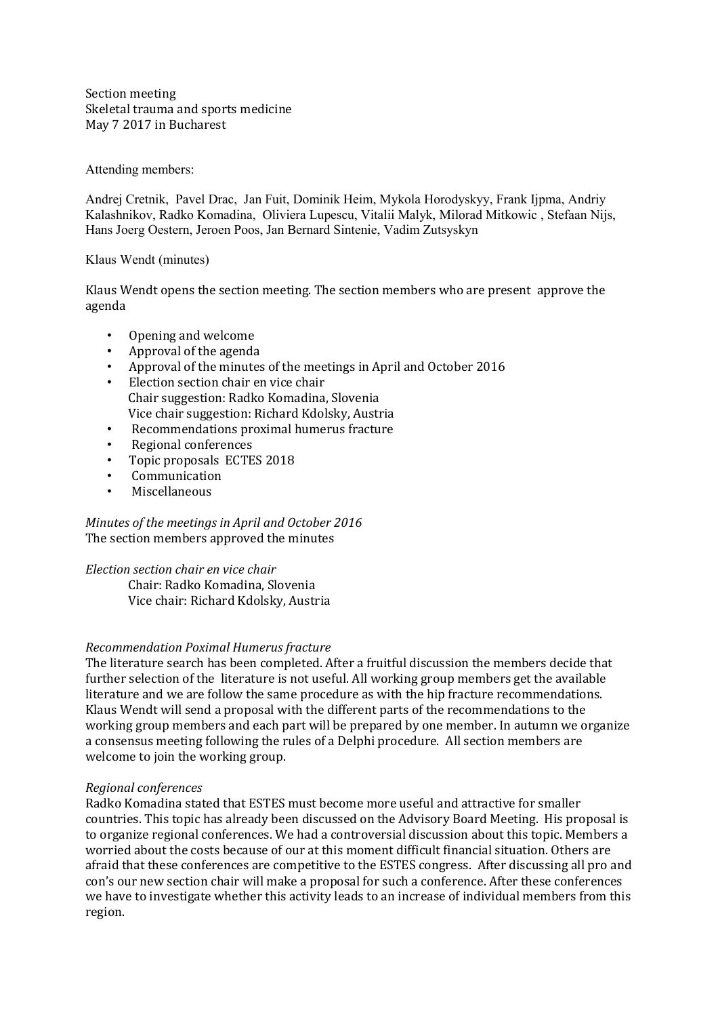Section meeting Skeletal trauma and sports medicine May 7 2017 in Bucharest

# Attending members:

Andrej Cretnik, Pavel Drac, Jan Fuit, Dominik Heim, Mykola Horodyskyy, Frank Ijpma, Andriy Kalashnikov, Radko Komadina, Oliviera Lupescu, Vitalii Malyk, Milorad Mitkowic , Stefaan Nijs, Hans Joerg Oestern, Jeroen Poos, Jan Bernard Sintenie, Vadim Zutsyskyn

#### Klaus Wendt (minutes)

Klaus Wendt opens the section meeting. The section members who are present approve the agenda

- Opening and welcome
- Approval of the agenda
- Approval of the minutes of the meetings in April and October 2016
- Election section chair en vice chair Chair suggestion: Radko Komadina, Slovenia Vice chair suggestion: Richard Kdolsky, Austria
- Recommendations proximal humerus fracture
- Regional conferences
- Topic proposals ECTES 2018
- Communication
- Miscellaneous

*Minutes of the meetings in April and October 2016* The section members approved the minutes

# *Election section chair en vice chair*

Chair: Radko Komadina, Slovenia Vice chair: Richard Kdolsky, Austria

# *Recommendation Poximal Humerus fracture*

The literature search has been completed. After a fruitful discussion the members decide that further selection of the literature is not useful. All working group members get the available literature and we are follow the same procedure as with the hip fracture recommendations. Klaus Wendt will send a proposal with the different parts of the recommendations to the working group members and each part will be prepared by one member. In autumn we organize a consensus meeting following the rules of a Delphi procedure. All section members are welcome to join the working group.

#### *Regional conferences*

Radko Komadina stated that ESTES must become more useful and attractive for smaller countries. This topic has already been discussed on the Advisory Board Meeting. His proposal is to organize regional conferences. We had a controversial discussion about this topic. Members a worried about the costs because of our at this moment difficult financial situation. Others are afraid that these conferences are competitive to the ESTES congress. After discussing all pro and con's our new section chair will make a proposal for such a conference. After these conferences we have to investigate whether this activity leads to an increase of individual members from this region.